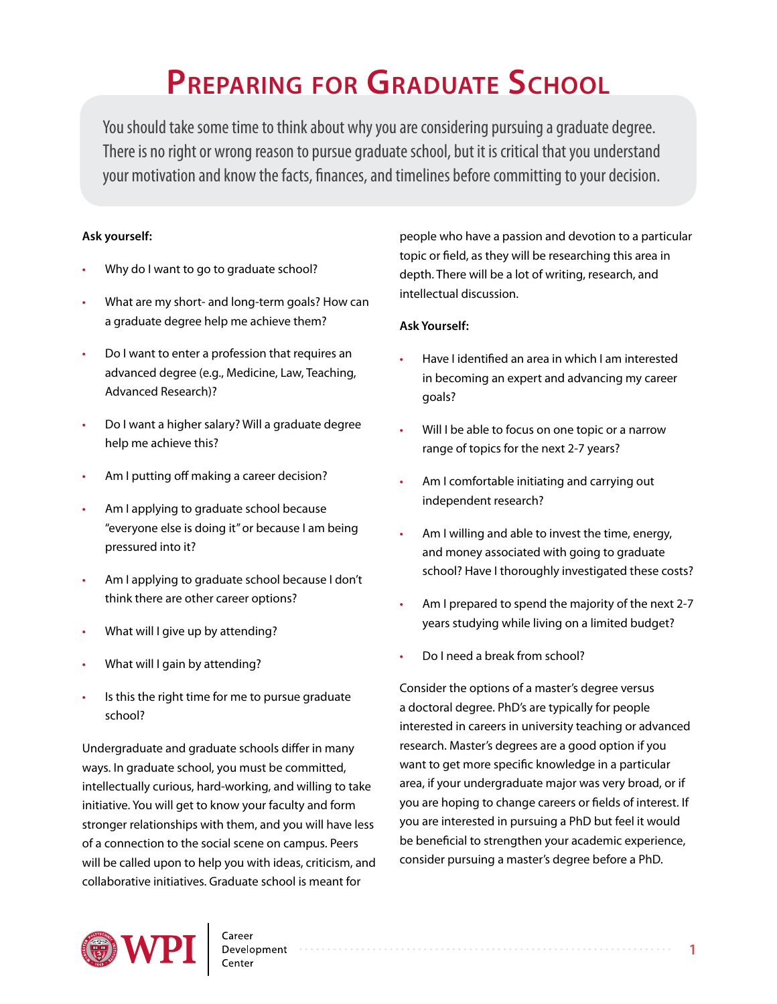# **Preparing for Graduate School**

You should take some time to think about why you are considering pursuing a graduate degree. There is no right or wrong reason to pursue graduate school, but it is critical that you understand your motivation and know the facts, finances, and timelines before committing to your decision.

#### **Ask yourself:**

- Why do I want to go to graduate school?
- What are my short- and long-term goals? How can a graduate degree help me achieve them?
- Do I want to enter a profession that requires an advanced degree (e.g., Medicine, Law, Teaching, Advanced Research)?
- Do I want a higher salary? Will a graduate degree help me achieve this?
- Am I putting off making a career decision?
- Am I applying to graduate school because "everyone else is doing it" or because I am being pressured into it?
- Am I applying to graduate school because I don't think there are other career options?
- What will I give up by attending?
- What will I gain by attending?
- Is this the right time for me to pursue graduate school?

Undergraduate and graduate schools differ in many ways. In graduate school, you must be committed, intellectually curious, hard-working, and willing to take initiative. You will get to know your faculty and form stronger relationships with them, and you will have less of a connection to the social scene on campus. Peers will be called upon to help you with ideas, criticism, and collaborative initiatives. Graduate school is meant for

people who have a passion and devotion to a particular topic or field, as they will be researching this area in depth. There will be a lot of writing, research, and intellectual discussion.

#### **Ask Yourself:**

- Have I identified an area in which I am interested in becoming an expert and advancing my career goals?
- Will I be able to focus on one topic or a narrow range of topics for the next 2-7 years?
- Am I comfortable initiating and carrying out independent research?
- Am I willing and able to invest the time, energy, and money associated with going to graduate school? Have I thoroughly investigated these costs?
- Am I prepared to spend the majority of the next 2-7 years studying while living on a limited budget?
- Do I need a break from school?

Consider the options of a master's degree versus a doctoral degree. PhD's are typically for people interested in careers in university teaching or advanced research. Master's degrees are a good option if you want to get more specific knowledge in a particular area, if your undergraduate major was very broad, or if you are hoping to change careers or fields of interest. If you are interested in pursuing a PhD but feel it would be beneficial to strengthen your academic experience, consider pursuing a master's degree before a PhD.

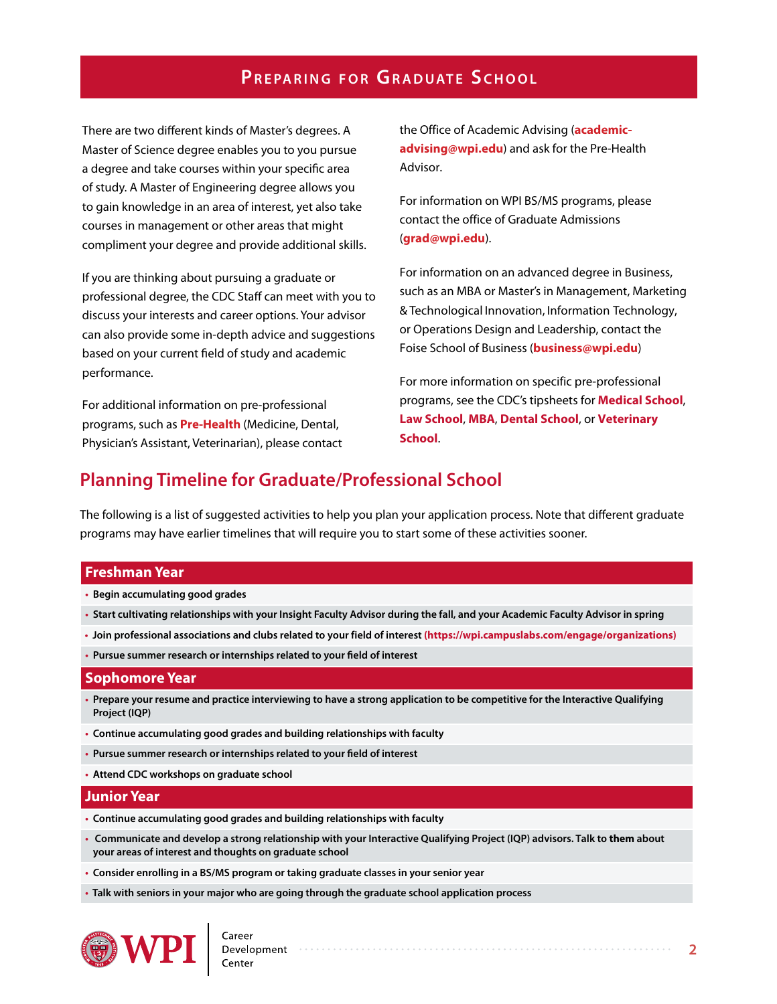There are two different kinds of Master's degrees. A Master of Science degree enables you to you pursue a degree and take courses within your specific area of study. A Master of Engineering degree allows you to gain knowledge in an area of interest, yet also take courses in management or other areas that might compliment your degree and provide additional skills.

If you are thinking about pursuing a graduate or professional degree, the CDC Staff can meet with you to discuss your interests and career options. Your advisor can also provide some in-depth advice and suggestions based on your current field of study and academic performance.

For additional information on pre-professional programs, such as **Pre-Health** (Medicine, Dental, Physician's Assistant, Veterinarian), please contact [the Office of Academic Advising \(](mailto:academic-advising%40wpi.edu?subject=)**academicadvising@wpi.edu**) and ask for the Pre-Health Advisor.

For information on WPI BS/MS programs, please contact the office of Graduate Admissions (**grad[@wpi.edu](mailto:grad%40wpi.edu?subject=)**).

For information on an advanced degree in Business, such as an MBA or Master's in Management, Marketing & Technological Innovation, Information Technology, or Operations Design and Leadership, contact the Foise School of Business (**business[@wpi.edu](mailto:business%40wpi.edu?subject=)**)

For more information on specific pre-professional programs, see the CDC's tipsheets for **[Medical School](http://www.wpi.edu/Images/CMS/CDC/Medical-school.pdf)**, **[Law School](http://www.wpi.edu/Images/CMS/CDC/Law-school.pdf)**, **[MBA](http://www.wpi.edu/Images/CMS/CDC/MBA.pdf)**, **[Dental School](http://www.wpi.edu/Images/CMS/CDC/Dental-school.pdf)**, or **[Veterinary](http://www.wpi.edu/Images/CMS/CDC/Veterinary-school.pdf)  [School](http://www.wpi.edu/Images/CMS/CDC/Veterinary-school.pdf)**.

## **Planning Timeline for Graduate/Professional School**

The following is a list of suggested activities to help you plan your application process. Note that different graduate programs may have earlier timelines that will require you to start some of these activities sooner.

#### **Freshman Year**

- **• Begin accumulating good grades**
- **• Start cultivating relationships with your Insight Faculty Advisor during the fall, and your Academic Faculty Advisor in spring**
- **• Join professional associations and clubs related to your field of interest (https://wpi.campuslabs.com/engage/organizations)**
- **• Pursue summer research or internships related to your field of interest**

#### **Sophomore Year**

- **• Prepare your resume and practice interviewing to have a strong application to be competitive for the Interactive Qualifying Project (IQP)**
- **• Continue accumulating good grades and building relationships with faculty**
- **• Pursue summer research or internships related to your field of interest**
- **• Attend CDC workshops on graduate school**

#### **Junior Year**

- **• Continue accumulating good grades and building relationships with faculty**
- **• Communicate and develop a strong relationship with your Interactive Qualifying Project (IQP) advisors. Talk to them about your areas of interest and thoughts on graduate school**
- **• Consider enrolling in a BS/MS program or taking graduate classes in your senior year**
- **• Talk with seniors in your major who are going through the graduate school application process**

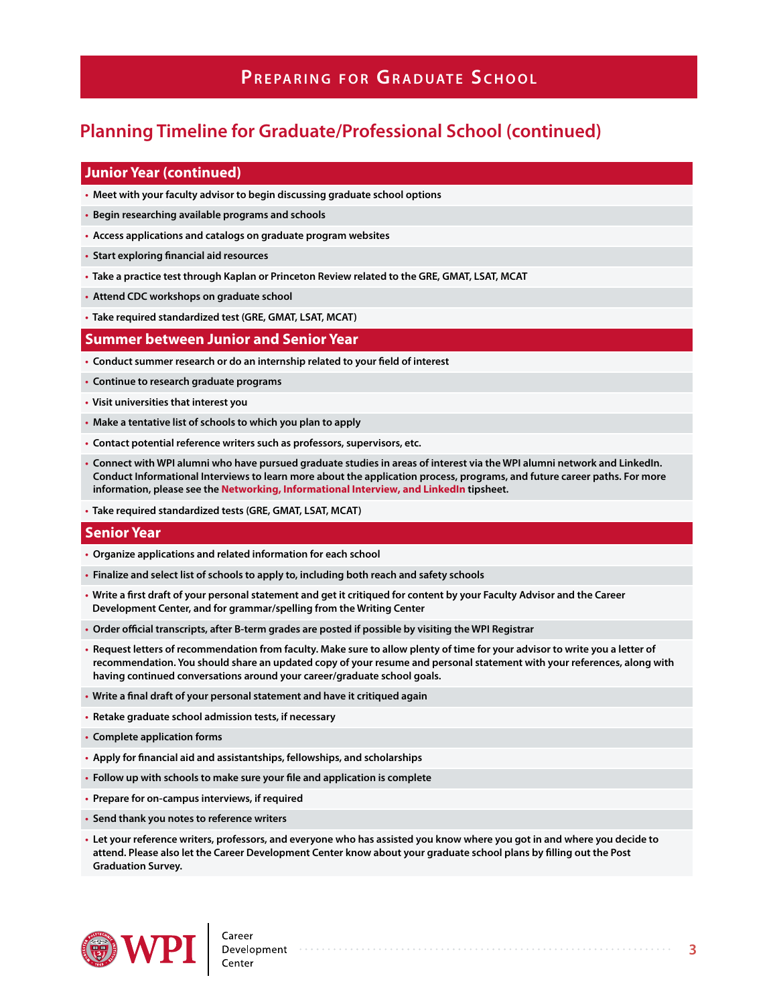# **Planning Timeline for Graduate/Professional School (continued)**

#### **Junior Year (continued)**

- **• Meet with your faculty advisor to begin discussing graduate school options**
- **• Begin researching available programs and schools**
- **• Access applications and catalogs on graduate program websites**
- **• Start exploring financial aid resources**
- **• Take a practice test through Kaplan or Princeton Review related to the GRE, GMAT, LSAT, MCAT**
- **• Attend CDC workshops on graduate school**
- **• Take required standardized test (GRE, GMAT, LSAT, MCAT)**

#### **Summer between Junior and Senior Year**

- **• Conduct summer research or do an internship related to your field of interest**
- **• Continue to research graduate programs**
- **• Visit universities that interest you**
- **• Make a tentative list of schools to which you plan to apply**
- **• Contact potential reference writers such as professors, supervisors, etc.**
- **• Connect with WPI alumni who have pursued graduate studies in areas of interest via the WPI alumni network and LinkedIn. Conduct Informational Interviews to learn more about the application process, programs, and future career paths. For more information, please see the [Networking, Informational Interview, and LinkedIn](https://www.wpi.edu/sites/default/files/docs/Student-Experiences/Career-Development/CDC_Tipsheets_2017_NetworkingInformationalInterviewingLinkedIn.pdf) tipsheet.**
- **• Take required standardized tests (GRE, GMAT, LSAT, MCAT)**

#### **Senior Year**

- **• Organize applications and related information for each school**
- **• Finalize and select list of schools to apply to, including both reach and safety schools**
- **• Write a first draft of your personal statement and get it critiqued for content by your Faculty Advisor and the Career Development Center, and for grammar/spelling from the Writing Center**
- **• Order official transcripts, after B-term grades are posted if possible by visiting the WPI Registrar**
- **• Request letters of recommendation from faculty. Make sure to allow plenty of time for your advisor to write you a letter of recommendation. You should share an updated copy of your resume and personal statement with your references, along with having continued conversations around your career/graduate school goals.**
- **• Write a final draft of your personal statement and have it critiqued again**
- **• Retake graduate school admission tests, if necessary**
- **• Complete application forms**
- **• Apply for financial aid and assistantships, fellowships, and scholarships**
- **• Follow up with schools to make sure your file and application is complete**
- **• Prepare for on-campus interviews, if required**
- **• Send thank you notes to reference writers**
- **• Let your reference writers, professors, and everyone who has assisted you know where you got in and where you decide to attend. Please also let the Career Development Center know about your graduate school plans by filling out the Post Graduation Survey.**

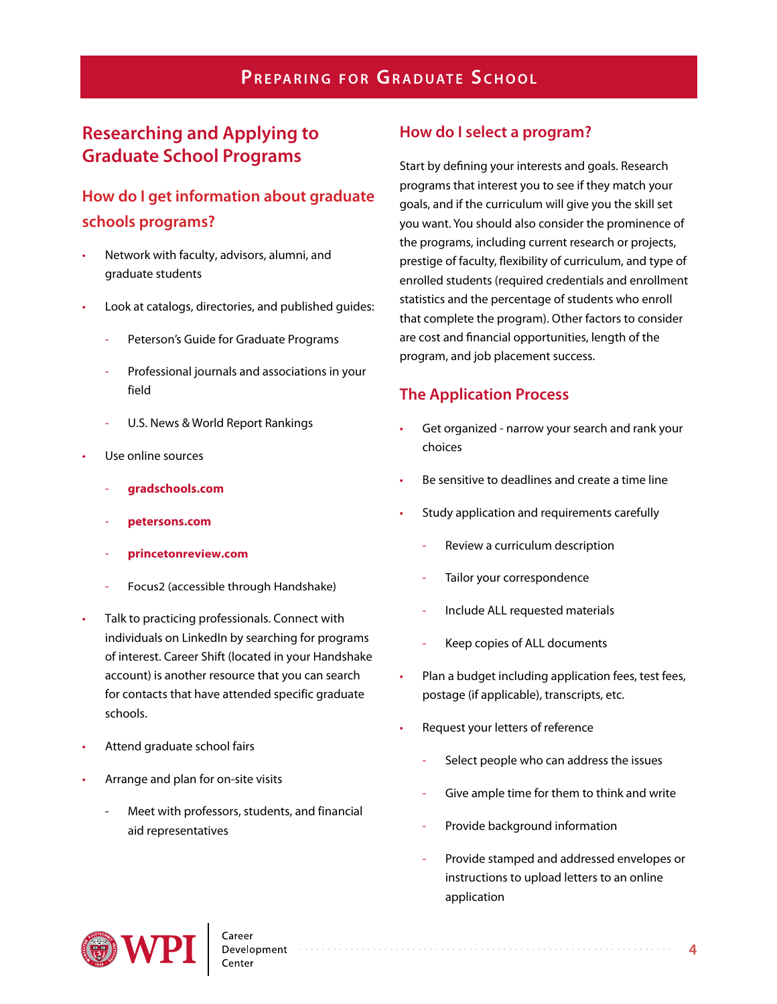# **Researching and Applying to Graduate School Programs**

# **How do I get information about graduate schools programs?**

- Network with faculty, advisors, alumni, and graduate students
- Look at catalogs, directories, and published guides:
	- Peterson's Guide for Graduate Programs
	- Professional journals and associations in your field
	- U.S. News & World Report Rankings
- Use online sources
	- **[gradschools.com](http://www.gradschools.com)**
	- **[petersons.com](http://www.petersons.com)**
	- **prin[cetonreview.com](http://princetonreview.com)**
	- Focus2 (accessible through Handshake)
- Talk to practicing professionals. Connect with individuals on LinkedIn by searching for programs of interest. Career Shift (located in your Handshake account) is another resource that you can search for contacts that have attended specific graduate schools.
- Attend graduate school fairs
- Arrange and plan for on-site visits
	- Meet with professors, students, and financial aid representatives

## **How do I select a program?**

Start by defining your interests and goals. Research programs that interest you to see if they match your goals, and if the curriculum will give you the skill set you want. You should also consider the prominence of the programs, including current research or projects, prestige of faculty, flexibility of curriculum, and type of enrolled students (required credentials and enrollment statistics and the percentage of students who enroll that complete the program). Other factors to consider are cost and financial opportunities, length of the program, and job placement success.

## **The Application Process**

- Get organized narrow your search and rank your choices
- Be sensitive to deadlines and create a time line
- Study application and requirements carefully
	- Review a curriculum description
	- Tailor your correspondence
	- Include ALL requested materials
	- Keep copies of ALL documents
- Plan a budget including application fees, test fees, postage (if applicable), transcripts, etc.
- Request your letters of reference
	- Select people who can address the issues
	- Give ample time for them to think and write
	- Provide background information
	- Provide stamped and addressed envelopes or instructions to upload letters to an online application

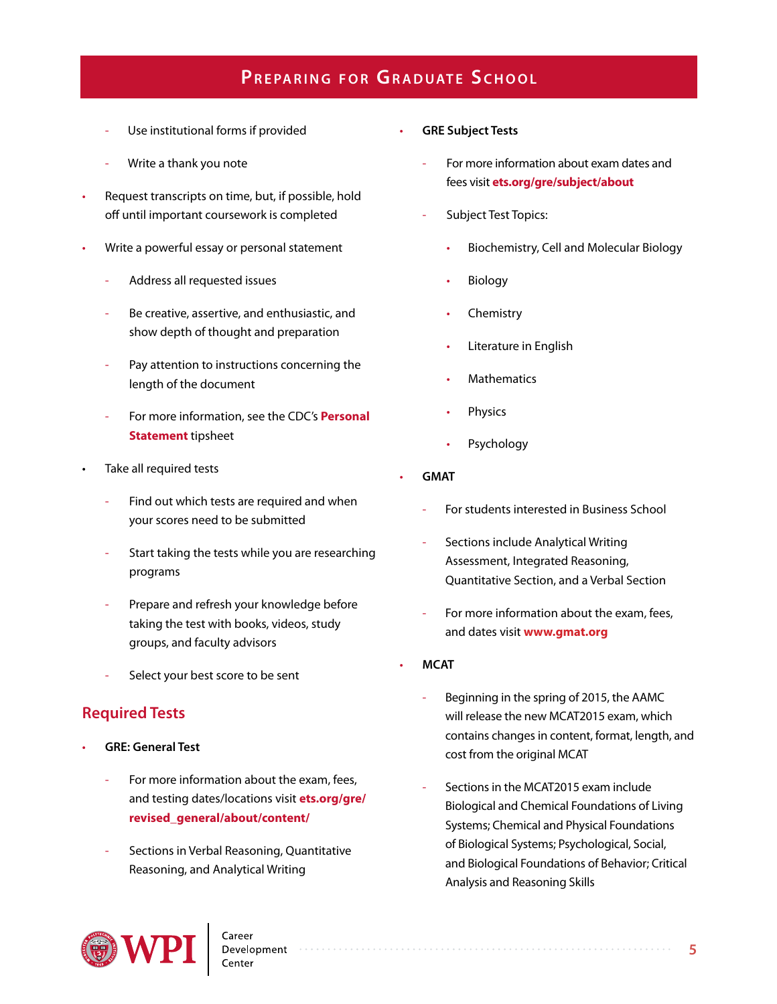- Use institutional forms if provided
- Write a thank you note
- Request transcripts on time, but, if possible, hold off until important coursework is completed
- Write a powerful essay or personal statement
	- Address all requested issues
	- Be creative, assertive, and enthusiastic, and show depth of thought and preparation
	- Pay attention to instructions concerning the length of the document
	- For more information, see the CDC's **[Personal](http://www.wpi.edu/Images/CMS/CDC/Personal-statement.pdf) [Statement](http://www.wpi.edu/Images/CMS/CDC/Personal-statement.pdf)** tipsheet
- Take all required tests
	- Find out which tests are required and when your scores need to be submitted
	- Start taking the tests while you are researching programs
	- Prepare and refresh your knowledge before taking the test with books, videos, study groups, and faculty advisors
	- Select your best score to be sent

## **Required Tests**

- **GRE: General Test** 
	- For more information about the exam, fees, and testing dates/locations visit **[ets.org/gre/](http://www.ets.org/gre/revised_general/about/content/) [revised\\_general/about/content/](http://www.ets.org/gre/revised_general/about/content/)**
	- Sections in Verbal Reasoning, Quantitative Reasoning, and Analytical Writing
- **GRE Subject Tests**
	- For more information about exam dates and fees visit **[ets.org/gre/subject/about](http://www.ets.org/gre/subject/about)**
	- Subject Test Topics:
		- Biochemistry, Cell and Molecular Biology
		- **Biology**
		- **Chemistry**
		- Literature in English
		- **Mathematics**
		- **Physics**
		- **Psychology**
- **GMAT**
	- For students interested in Business School
	- Sections include Analytical Writing Assessment, Integrated Reasoning, Quantitative Section, and a Verbal Section
	- For more information about the exam, fees, and dates visit **[www.gmat.org](http://www.gmat.org)**
- **MCAT**
	- Beginning in the spring of 2015, the AAMC will release the new MCAT2015 exam, which contains changes in content, format, length, and cost from the original MCAT
	- Sections in the MCAT2015 exam include Biological and Chemical Foundations of Living Systems; Chemical and Physical Foundations of Biological Systems; Psychological, Social, and Biological Foundations of Behavior; Critical Analysis and Reasoning Skills